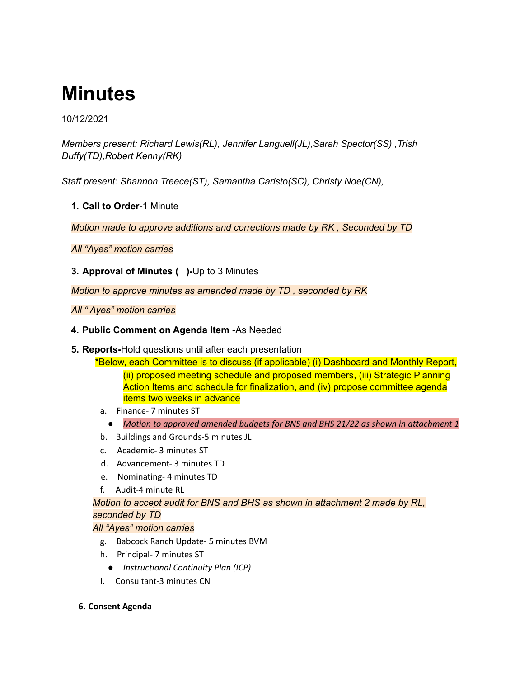# **Minutes**

## 10/12/2021

*Members present: Richard Lewis(RL), Jennifer Languell(JL),Sarah Spector(SS) ,Trish Duffy(TD),Robert Kenny(RK)*

*Staff present: Shannon Treece(ST), Samantha Caristo(SC), Christy Noe(CN),*

**1. Call to Order-**1 Minute

*Motion made to approve additions and corrections made by RK , Seconded by TD*

*All "Ayes" motion carries*

**3. Approval of Minutes ( )-**Up to 3 Minutes

*Motion to approve minutes as amended made by TD , seconded by RK*

*All " Ayes" motion carries*

- **4. Public Comment on Agenda Item -**As Needed
- **5. Reports-**Hold questions until after each presentation

\*Below, each Committee is to discuss (if applicable) (i) Dashboard and Monthly Report, (ii) proposed meeting schedule and proposed members, (iii) Strategic Planning Action Items and schedule for finalization, and (iv) propose committee agenda items two weeks in advance

- a. Finance- 7 minutes ST
	- *Motion to approved amended budgets for BNS and BHS 21/22 as shown in attachment 1*
- b. Buildings and Grounds-5 minutes JL
- c. Academic- 3 minutes ST
- d. Advancement- 3 minutes TD
- e. Nominating- 4 minutes TD
- f. Audit-4 minute RL

*Motion to accept audit for BNS and BHS as shown in attachment 2 made by RL, seconded by TD*

#### *All "Ayes" motion carries*

- g. Babcock Ranch Update- 5 minutes BVM
- h. Principal- 7 minutes ST
	- *Instructional Continuity Plan (ICP)*
- I. Consultant-3 minutes CN
- **6. Consent Agenda**